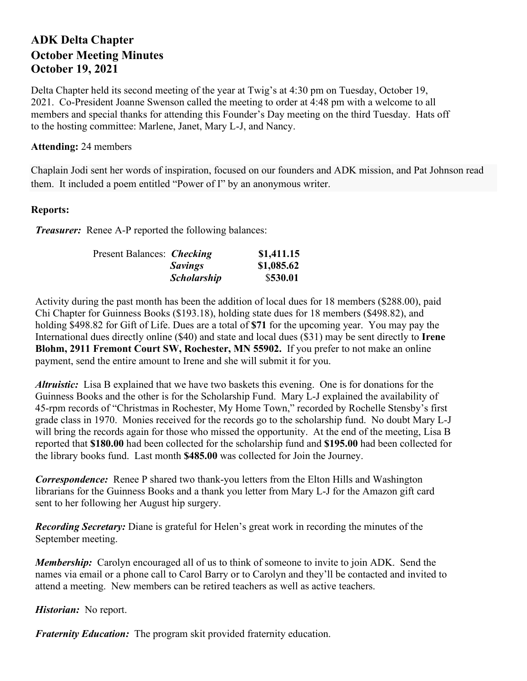## **ADK Delta Chapter October Meeting Minutes October 19, 2021**

Delta Chapter held its second meeting of the year at Twig's at 4:30 pm on Tuesday, October 19, 2021. Co-President Joanne Swenson called the meeting to order at 4:48 pm with a welcome to all members and special thanks for attending this Founder's Day meeting on the third Tuesday. Hats off to the hosting committee: Marlene, Janet, Mary L-J, and Nancy.

## **Attending:** 24 members

Chaplain Jodi sent her words of inspiration, focused on our founders and ADK mission, and Pat Johnson read them. It included a poem entitled "Power of I" by an anonymous writer.

## **Reports:**

*Treasurer:* Renee A-P reported the following balances:

| Present Balances: <i>Checking</i> |                    | \$1,411.15 |
|-----------------------------------|--------------------|------------|
|                                   | <b>Savings</b>     | \$1,085.62 |
|                                   | <b>Scholarship</b> | \$530.01   |

Activity during the past month has been the addition of local dues for 18 members (\$288.00), paid Chi Chapter for Guinness Books (\$193.18), holding state dues for 18 members (\$498.82), and holding \$498.82 for Gift of Life. Dues are a total of **\$71** for the upcoming year. You may pay the International dues directly online (\$40) and state and local dues (\$31) may be sent directly to **Irene Blohm, 2911 Fremont Court SW, Rochester, MN 55902.** If you prefer to not make an online payment, send the entire amount to Irene and she will submit it for you.

*Altruistic:* Lisa B explained that we have two baskets this evening. One is for donations for the Guinness Books and the other is for the Scholarship Fund. Mary L-J explained the availability of 45-rpm records of "Christmas in Rochester, My Home Town," recorded by Rochelle Stensby's first grade class in 1970. Monies received for the records go to the scholarship fund. No doubt Mary L-J will bring the records again for those who missed the opportunity. At the end of the meeting, Lisa B reported that **\$180.00** had been collected for the scholarship fund and **\$195.00** had been collected for the library books fund. Last month **\$485.00** was collected for Join the Journey.

*Correspondence:* Renee P shared two thank-you letters from the Elton Hills and Washington librarians for the Guinness Books and a thank you letter from Mary L-J for the Amazon gift card sent to her following her August hip surgery.

*Recording Secretary:* Diane is grateful for Helen's great work in recording the minutes of the September meeting.

*Membership*: Carolyn encouraged all of us to think of someone to invite to join ADK. Send the names via email or a phone call to Carol Barry or to Carolyn and they'll be contacted and invited to attend a meeting. New members can be retired teachers as well as active teachers.

*Historian:* No report.

*Fraternity Education:* The program skit provided fraternity education.